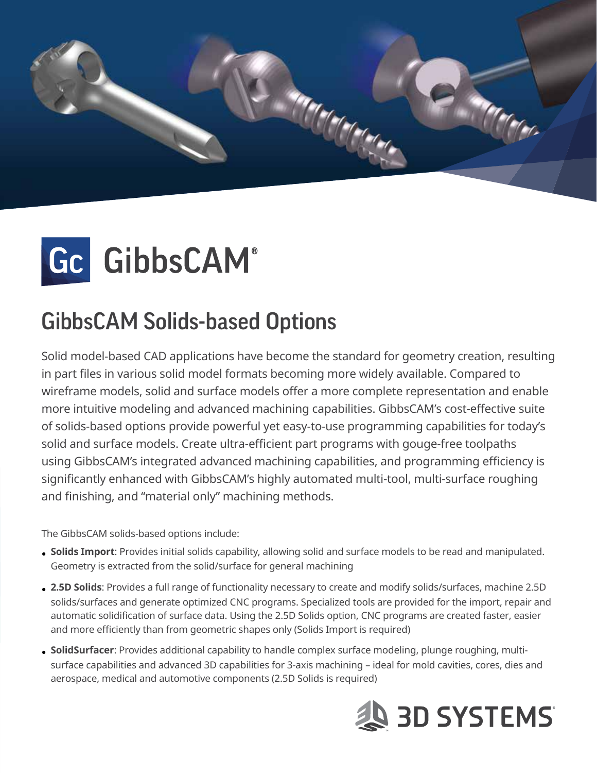



# **GibbsCAM Solids-based Options**

Solid model-based CAD applications have become the standard for geometry creation, resulting in part files in various solid model formats becoming more widely available. Compared to wireframe models, solid and surface models offer a more complete representation and enable more intuitive modeling and advanced machining capabilities. GibbsCAM's cost-effective suite of solids-based options provide powerful yet easy-to-use programming capabilities for today's solid and surface models. Create ultra-efficient part programs with gouge-free toolpaths using GibbsCAM's integrated advanced machining capabilities, and programming efficiency is significantly enhanced with GibbsCAM's highly automated multi-tool, multi-surface roughing and finishing, and "material only" machining methods.

The GibbsCAM solids-based options include:

- . Solids Import: Provides initial solids capability, allowing solid and surface models to be read and manipulated. Geometry is extracted from the solid/surface for general machining
- . 2.5D Solids: Provides a full range of functionality necessary to create and modify solids/surfaces, machine 2.5D solids/surfaces and generate optimized CNC programs. Specialized tools are provided for the import, repair and automatic solidification of surface data. Using the 2.5D Solids option, CNC programs are created faster, easier and more efficiently than from geometric shapes only (Solids Import is required)
- surface capabilities and advanced 3D capabilities for 3-axis machining ideal for mold cavities, cores, dies and • **SolidSurfacer**: Provides additional capability to handle complex surface modeling, plunge roughing, multiaerospace, medical and automotive components (2.5D Solids is required)

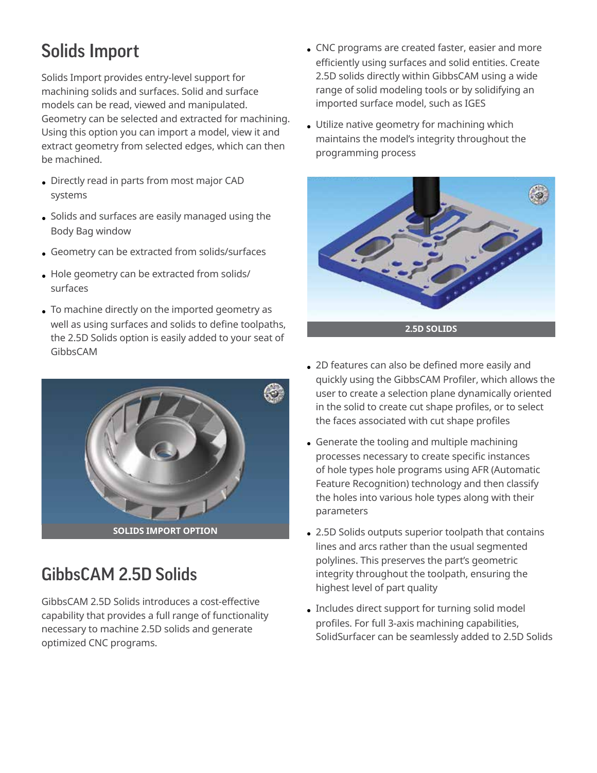## **Solids Import**

Solids Import provides entry-level support for machining solids and surfaces. Solid and surface models can be read, viewed and manipulated. Geometry can be selected and extracted for machining. Using this option you can import a model, view it and extract geometry from selected edges, which can then be machined.

- Directly read in parts from most major CAD systems
- $\bullet$  Solids and surfaces are easily managed using the Body Bag window
- Geometry can be extracted from solids/surfaces
- Hole geometry can be extracted from solids/ surfaces
- To machine directly on the imported geometry as well as using surfaces and solids to define toolpaths, the 2.5D Solids option is easily added to your seat of GibbsCAM



#### GibbsCAM 2.5D Solids

GibbsCAM 2.5D Solids introduces a cost-effective capability that provides a full range of functionality necessary to machine 2.5D solids and generate optimized CNC programs.

- CNC programs are created faster, easier and more efficiently using surfaces and solid entities. Create 2.5D solids directly within GibbsCAM using a wide range of solid modeling tools or by solidifying an imported surface model, such as IGES
- Utilize native geometry for machining which maintains the model's integrity throughout the programming process



- 2D features can also be defined more easily and quickly using the GibbsCAM Profiler, which allows the user to create a selection plane dynamically oriented in the solid to create cut shape profiles, or to select the faces associated with cut shape profiles
- Generate the tooling and multiple machining processes necessary to create specific instances of hole types hole programs using AFR (Automatic Feature Recognition) technology and then classify the holes into various hole types along with their parameters
- 2.5D Solids outputs superior toolpath that contains lines and arcs rather than the usual segmented polylines. This preserves the part's geometric integrity throughout the toolpath, ensuring the highest level of part quality
- Includes direct support for turning solid model profiles. For full 3-axis machining capabilities, SolidSurfacer can be seamlessly added to 2.5D Solids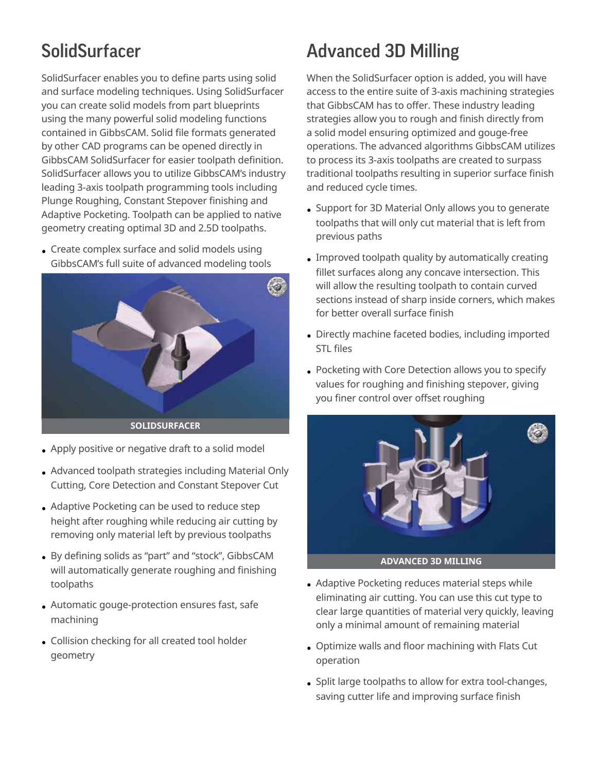#### SolidSurfacer

Solid Surfacer enables you to define parts using solid and surface modeling techniques. Using SolidSurfacer you can create solid models from part blueprints using the many powerful solid modeling functions contained in GibbsCAM. Solid file formats generated by other CAD programs can be opened directly in GibbsCAM SolidSurfacer for easier toolpath definition. SolidSurfacer allows you to utilize GibbsCAM's industry leading 3-axis toolpath programming tools including Plunge Roughing, Constant Stepover finishing and Adaptive Pocketing. Toolpath can be applied to native geometry creating optimal 3D and 2.5D toolpaths.

• Create complex surface and solid models using GibbsCAM's full suite of advanced modeling tools



- Apply positive or negative draft to a solid model
- Advanced toolpath strategies including Material Only Cutting, Core Detection and Constant Stepover Cut
- Adaptive Pocketing can be used to reduce step height after roughing while reducing air cutting by removing only material left by previous toolpaths
- By defining solids as "part" and "stock", GibbsCAM will automatically generate roughing and finishing toolpaths
- Automatic gouge-protection ensures fast, safe machining
- Collision checking for all created tool holder geometry

### **Advanced 3D Milling**

When the SolidSurfacer option is added, you will have access to the entire suite of 3-axis machining strategies that GibbsCAM has to offer. These industry leading strategies allow you to rough and finish directly from a solid model ensuring optimized and gouge-free operations. The advanced algorithms GibbsCAM utilizes to process its 3-axis toolpaths are created to surpass traditional toolpaths resulting in superior surface finish and reduced cycle times.

- Support for 3D Material Only allows you to generate toolpaths that will only cut material that is left from previous paths
- Improved toolpath quality by automatically creating fillet surfaces along any concave intersection. This will allow the resulting toolpath to contain curved sections instead of sharp inside corners, which makes for better overall surface finish
- Directly machine faceted bodies, including imported STL files
- Pocketing with Core Detection allows you to specify values for roughing and finishing stepover, giving you finer control over offset roughing



- Adaptive Pocketing reduces material steps while eliminating air cutting. You can use this cut type to clear large quantities of material very quickly, leaving only a minimal amount of remaining material
- Optimize walls and floor machining with Flats Cut operation
- Split large toolpaths to allow for extra tool-changes, saving cutter life and improving surface finish